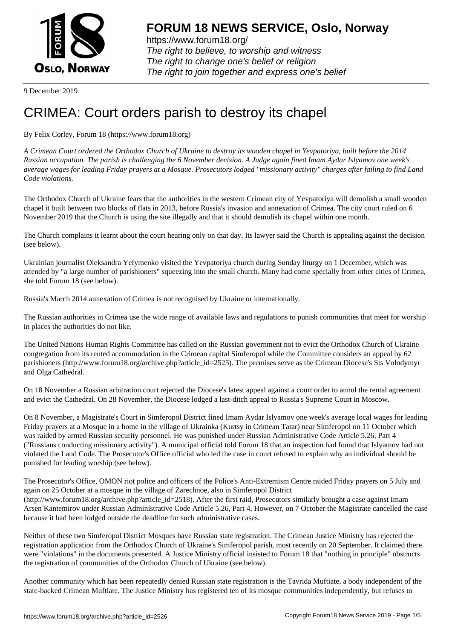

https://www.forum18.org/ The right to believe, to worship and witness The right to change one's belief or religion [The right to join together a](https://www.forum18.org/)nd express one's belief

9 December 2019

## [CRIMEA: Court](https://www.forum18.org) orders parish to destroy its chapel

## By Felix Corley, Forum 18 (https://www.forum18.org)

*A Crimean Court ordered the Orthodox Church of Ukraine to destroy its wooden chapel in Yevpatoriya, built before the 2014 Russian occupation. The parish is challenging the 6 November decision. A Judge again fined Imam Aydar Islyamov one week's average wages for leading Friday prayers at a Mosque. Prosecutors lodged "missionary activity" charges after failing to find Land Code violations.*

The Orthodox Church of Ukraine fears that the authorities in the western Crimean city of Yevpatoriya will demolish a small wooden chapel it built between two blocks of flats in 2013, before Russia's invasion and annexation of Crimea. The city court ruled on 6 November 2019 that the Church is using the site illegally and that it should demolish its chapel within one month.

The Church complains it learnt about the court hearing only on that day. Its lawyer said the Church is appealing against the decision (see below).

Ukrainian journalist Oleksandra Yefymenko visited the Yevpatoriya church during Sunday liturgy on 1 December, which was attended by "a large number of parishioners" squeezing into the small church. Many had come specially from other cities of Crimea, she told Forum 18 (see below).

Russia's March 2014 annexation of Crimea is not recognised by Ukraine or internationally.

The Russian authorities in Crimea use the wide range of available laws and regulations to punish communities that meet for worship in places the authorities do not like.

The United Nations Human Rights Committee has called on the Russian government not to evict the Orthodox Church of Ukraine congregation from its rented accommodation in the Crimean capital Simferopol while the Committee considers an appeal by 62 parishioners (http://www.forum18.org/archive.php?article\_id=2525). The premises serve as the Crimean Diocese's Sts Volodymyr and Olga Cathedral.

On 18 November a Russian arbitration court rejected the Diocese's latest appeal against a court order to annul the rental agreement and evict the Cathedral. On 28 November, the Diocese lodged a last-ditch appeal to Russia's Supreme Court in Moscow.

On 8 November, a Magistrate's Court in Simferopol District fined Imam Aydar Islyamov one week's average local wages for leading Friday prayers at a Mosque in a home in the village of Ukrainka (Kurtsy in Crimean Tatar) near Simferopol on 11 October which was raided by armed Russian security personnel. He was punished under Russian Administrative Code Article 5.26, Part 4 ("Russians conducting missionary activity"). A municipal official told Forum 18 that an inspection had found that Islyamov had not violated the Land Code. The Prosecutor's Office official who led the case in court refused to explain why an individual should be punished for leading worship (see below).

The Prosecutor's Office, OMON riot police and officers of the Police's Anti-Extremism Centre raided Friday prayers on 5 July and again on 25 October at a mosque in the village of Zarechnoe, also in Simferopol District (http://www.forum18.org/archive.php?article\_id=2518). After the first raid, Prosecutors similarly brought a case against Imam Arsen Kantemirov under Russian Administrative Code Article 5.26, Part 4. However, on 7 October the Magistrate cancelled the case because it had been lodged outside the deadline for such administrative cases.

Neither of these two Simferopol District Mosques have Russian state registration. The Crimean Justice Ministry has rejected the registration application from the Orthodox Church of Ukraine's Simferopol parish, most recently on 20 September. It claimed there were "violations" in the documents presented. A Justice Ministry official insisted to Forum 18 that "nothing in principle" obstructs the registration of communities of the Orthodox Church of Ukraine (see below).

Another community which has been repeatedly denied Russian state registration is the Tavrida Muftiate, a body independent of the state-backed Crimean Muftiate. The Justice Ministry has registered ten of its mosque communities independently, but refuses to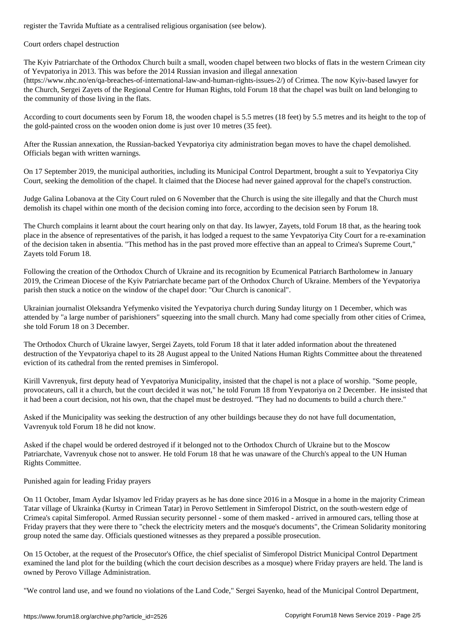Court orders chapel destruction

The Kyiv Patriarchate of the Orthodox Church built a small, wooden chapel between two blocks of flats in the western Crimean city of Yevpatoriya in 2013. This was before the 2014 Russian invasion and illegal annexation (https://www.nhc.no/en/qa-breaches-of-international-law-and-human-rights-issues-2/) of Crimea. The now Kyiv-based lawyer for the Church, Sergei Zayets of the Regional Centre for Human Rights, told Forum 18 that the chapel was built on land belonging to the community of those living in the flats.

According to court documents seen by Forum 18, the wooden chapel is 5.5 metres (18 feet) by 5.5 metres and its height to the top of the gold-painted cross on the wooden onion dome is just over 10 metres (35 feet).

After the Russian annexation, the Russian-backed Yevpatoriya city administration began moves to have the chapel demolished. Officials began with written warnings.

On 17 September 2019, the municipal authorities, including its Municipal Control Department, brought a suit to Yevpatoriya City Court, seeking the demolition of the chapel. It claimed that the Diocese had never gained approval for the chapel's construction.

Judge Galina Lobanova at the City Court ruled on 6 November that the Church is using the site illegally and that the Church must demolish its chapel within one month of the decision coming into force, according to the decision seen by Forum 18.

The Church complains it learnt about the court hearing only on that day. Its lawyer, Zayets, told Forum 18 that, as the hearing took place in the absence of representatives of the parish, it has lodged a request to the same Yevpatoriya City Court for a re-examination of the decision taken in absentia. "This method has in the past proved more effective than an appeal to Crimea's Supreme Court," Zayets told Forum 18.

Following the creation of the Orthodox Church of Ukraine and its recognition by Ecumenical Patriarch Bartholomew in January 2019, the Crimean Diocese of the Kyiv Patriarchate became part of the Orthodox Church of Ukraine. Members of the Yevpatoriya parish then stuck a notice on the window of the chapel door: "Our Church is canonical".

Ukrainian journalist Oleksandra Yefymenko visited the Yevpatoriya church during Sunday liturgy on 1 December, which was attended by "a large number of parishioners" squeezing into the small church. Many had come specially from other cities of Crimea, she told Forum 18 on 3 December.

The Orthodox Church of Ukraine lawyer, Sergei Zayets, told Forum 18 that it later added information about the threatened destruction of the Yevpatoriya chapel to its 28 August appeal to the United Nations Human Rights Committee about the threatened eviction of its cathedral from the rented premises in Simferopol.

Kirill Vavrenyuk, first deputy head of Yevpatoriya Municipality, insisted that the chapel is not a place of worship. "Some people, provocateurs, call it a church, but the court decided it was not," he told Forum 18 from Yevpatoriya on 2 December. He insisted that it had been a court decision, not his own, that the chapel must be destroyed. "They had no documents to build a church there."

Asked if the Municipality was seeking the destruction of any other buildings because they do not have full documentation, Vavrenyuk told Forum 18 he did not know.

Asked if the chapel would be ordered destroyed if it belonged not to the Orthodox Church of Ukraine but to the Moscow Patriarchate, Vavrenyuk chose not to answer. He told Forum 18 that he was unaware of the Church's appeal to the UN Human Rights Committee.

Punished again for leading Friday prayers

On 11 October, Imam Aydar Islyamov led Friday prayers as he has done since 2016 in a Mosque in a home in the majority Crimean Tatar village of Ukrainka (Kurtsy in Crimean Tatar) in Perovo Settlement in Simferopol District, on the south-western edge of Crimea's capital Simferopol. Armed Russian security personnel - some of them masked - arrived in armoured cars, telling those at Friday prayers that they were there to "check the electricity meters and the mosque's documents", the Crimean Solidarity monitoring group noted the same day. Officials questioned witnesses as they prepared a possible prosecution.

On 15 October, at the request of the Prosecutor's Office, the chief specialist of Simferopol District Municipal Control Department examined the land plot for the building (which the court decision describes as a mosque) where Friday prayers are held. The land is owned by Perovo Village Administration.

"We control land use, and we found no violations of the Land Code," Sergei Sayenko, head of the Municipal Control Department,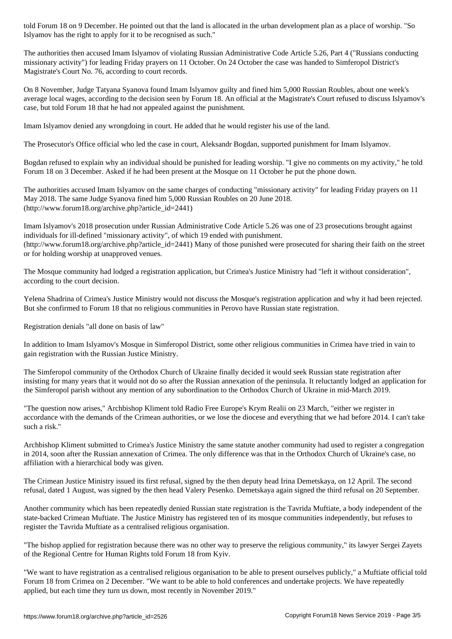Islyamov has the right to apply for it to be recognised as such."

The authorities then accused Imam Islyamov of violating Russian Administrative Code Article 5.26, Part 4 ("Russians conducting missionary activity") for leading Friday prayers on 11 October. On 24 October the case was handed to Simferopol District's Magistrate's Court No. 76, according to court records.

On 8 November, Judge Tatyana Syanova found Imam Islyamov guilty and fined him 5,000 Russian Roubles, about one week's average local wages, according to the decision seen by Forum 18. An official at the Magistrate's Court refused to discuss Islyamov's case, but told Forum 18 that he had not appealed against the punishment.

Imam Islyamov denied any wrongdoing in court. He added that he would register his use of the land.

The Prosecutor's Office official who led the case in court, Aleksandr Bogdan, supported punishment for Imam Islyamov.

Bogdan refused to explain why an individual should be punished for leading worship. "I give no comments on my activity," he told Forum 18 on 3 December. Asked if he had been present at the Mosque on 11 October he put the phone down.

The authorities accused Imam Islyamov on the same charges of conducting "missionary activity" for leading Friday prayers on 11 May 2018. The same Judge Syanova fined him 5,000 Russian Roubles on 20 June 2018. (http://www.forum18.org/archive.php?article\_id=2441)

Imam Islyamov's 2018 prosecution under Russian Administrative Code Article 5.26 was one of 23 prosecutions brought against individuals for ill-defined "missionary activity", of which 19 ended with punishment. (http://www.forum18.org/archive.php?article\_id=2441) Many of those punished were prosecuted for sharing their faith on the street or for holding worship at unapproved venues.

The Mosque community had lodged a registration application, but Crimea's Justice Ministry had "left it without consideration", according to the court decision.

Yelena Shadrina of Crimea's Justice Ministry would not discuss the Mosque's registration application and why it had been rejected. But she confirmed to Forum 18 that no religious communities in Perovo have Russian state registration.

Registration denials "all done on basis of law"

In addition to Imam Islyamov's Mosque in Simferopol District, some other religious communities in Crimea have tried in vain to gain registration with the Russian Justice Ministry.

The Simferopol community of the Orthodox Church of Ukraine finally decided it would seek Russian state registration after insisting for many years that it would not do so after the Russian annexation of the peninsula. It reluctantly lodged an application for the Simferopol parish without any mention of any subordination to the Orthodox Church of Ukraine in mid-March 2019.

"The question now arises," Archbishop Kliment told Radio Free Europe's Krym Realii on 23 March, "either we register in accordance with the demands of the Crimean authorities, or we lose the diocese and everything that we had before 2014. I can't take such a risk."

Archbishop Kliment submitted to Crimea's Justice Ministry the same statute another community had used to register a congregation in 2014, soon after the Russian annexation of Crimea. The only difference was that in the Orthodox Church of Ukraine's case, no affiliation with a hierarchical body was given.

The Crimean Justice Ministry issued its first refusal, signed by the then deputy head Irina Demetskaya, on 12 April. The second refusal, dated 1 August, was signed by the then head Valery Pesenko. Demetskaya again signed the third refusal on 20 September.

Another community which has been repeatedly denied Russian state registration is the Tavrida Muftiate, a body independent of the state-backed Crimean Muftiate. The Justice Ministry has registered ten of its mosque communities independently, but refuses to register the Tavrida Muftiate as a centralised religious organisation.

"The bishop applied for registration because there was no other way to preserve the religious community," its lawyer Sergei Zayets of the Regional Centre for Human Rights told Forum 18 from Kyiv.

"We want to have registration as a centralised religious organisation to be able to present ourselves publicly," a Muftiate official told Forum 18 from Crimea on 2 December. "We want to be able to hold conferences and undertake projects. We have repeatedly applied, but each time they turn us down, most recently in November 2019."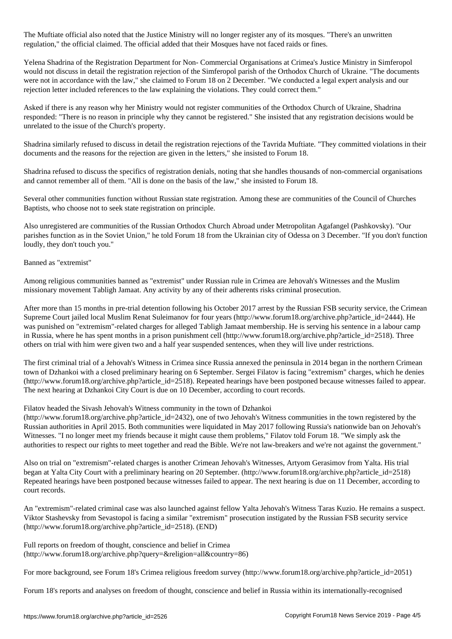The Muftiate official also noted that the Justice Ministry will no longer register any of its mosques. "There's an unwritten regulation," the official claimed. The official added that their Mosques have not faced raids or fines.

Yelena Shadrina of the Registration Department for Non- Commercial Organisations at Crimea's Justice Ministry in Simferopol would not discuss in detail the registration rejection of the Simferopol parish of the Orthodox Church of Ukraine. "The documents were not in accordance with the law," she claimed to Forum 18 on 2 December. "We conducted a legal expert analysis and our rejection letter included references to the law explaining the violations. They could correct them."

Asked if there is any reason why her Ministry would not register communities of the Orthodox Church of Ukraine, Shadrina responded: "There is no reason in principle why they cannot be registered." She insisted that any registration decisions would be unrelated to the issue of the Church's property.

Shadrina similarly refused to discuss in detail the registration rejections of the Tavrida Muftiate. "They committed violations in their documents and the reasons for the rejection are given in the letters," she insisted to Forum 18.

Shadrina refused to discuss the specifics of registration denials, noting that she handles thousands of non-commercial organisations and cannot remember all of them. "All is done on the basis of the law," she insisted to Forum 18.

Several other communities function without Russian state registration. Among these are communities of the Council of Churches Baptists, who choose not to seek state registration on principle.

Also unregistered are communities of the Russian Orthodox Church Abroad under Metropolitan Agafangel (Pashkovsky). "Our parishes function as in the Soviet Union," he told Forum 18 from the Ukrainian city of Odessa on 3 December. "If you don't function loudly, they don't touch you."

## Banned as "extremist"

Among religious communities banned as "extremist" under Russian rule in Crimea are Jehovah's Witnesses and the Muslim missionary movement Tabligh Jamaat. Any activity by any of their adherents risks criminal prosecution.

After more than 15 months in pre-trial detention following his October 2017 arrest by the Russian FSB security service, the Crimean Supreme Court jailed local Muslim Renat Suleimanov for four years (http://www.forum18.org/archive.php?article\_id=2444). He was punished on "extremism"-related charges for alleged Tabligh Jamaat membership. He is serving his sentence in a labour camp in Russia, where he has spent months in a prison punishment cell (http://www.forum18.org/archive.php?article\_id=2518). Three others on trial with him were given two and a half year suspended sentences, when they will live under restrictions.

The first criminal trial of a Jehovah's Witness in Crimea since Russia annexed the peninsula in 2014 began in the northern Crimean town of Dzhankoi with a closed preliminary hearing on 6 September. Sergei Filatov is facing "extremism" charges, which he denies (http://www.forum18.org/archive.php?article\_id=2518). Repeated hearings have been postponed because witnesses failed to appear. The next hearing at Dzhankoi City Court is due on 10 December, according to court records.

## Filatov headed the Sivash Jehovah's Witness community in the town of Dzhankoi

(http://www.forum18.org/archive.php?article\_id=2432), one of two Jehovah's Witness communities in the town registered by the Russian authorities in April 2015. Both communities were liquidated in May 2017 following Russia's nationwide ban on Jehovah's Witnesses. "I no longer meet my friends because it might cause them problems," Filatov told Forum 18. "We simply ask the authorities to respect our rights to meet together and read the Bible. We're not law-breakers and we're not against the government."

Also on trial on "extremism"-related charges is another Crimean Jehovah's Witnesses, Artyom Gerasimov from Yalta. His trial began at Yalta City Court with a preliminary hearing on 20 September. (http://www.forum18.org/archive.php?article\_id=2518) Repeated hearings have been postponed because witnesses failed to appear. The next hearing is due on 11 December, according to court records.

An "extremism"-related criminal case was also launched against fellow Yalta Jehovah's Witness Taras Kuzio. He remains a suspect. Viktor Stashevsky from Sevastopol is facing a similar "extremism" prosecution instigated by the Russian FSB security service (http://www.forum18.org/archive.php?article\_id=2518). (END)

Full reports on freedom of thought, conscience and belief in Crimea (http://www.forum18.org/archive.php?query=&religion=all&country=86)

For more background, see Forum 18's Crimea religious freedom survey (http://www.forum18.org/archive.php?article\_id=2051)

Forum 18's reports and analyses on freedom of thought, conscience and belief in Russia within its internationally-recognised